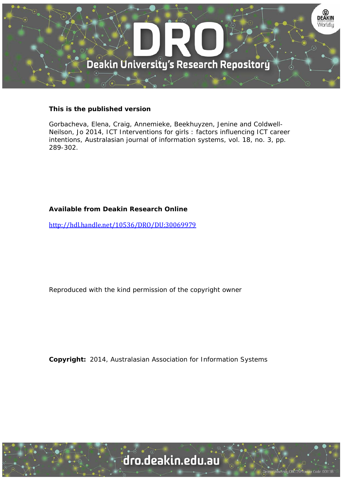

# **This is the published version**

Gorbacheva, Elena, Craig, Annemieke, Beekhuyzen, Jenine and Coldwell-Neilson, Jo 2014, ICT Interventions for girls : factors influencing ICT career intentions, Australasian journal of information systems, vol. 18, no. 3, pp. 289-302.

# **Available from Deakin Research Online**

http://hdl.handle.net/10536/DRO/DU:30069979

Reproduced with the kind permission of the copyright owner

**Copyright:** 2014, Australasian Association for Information Systems

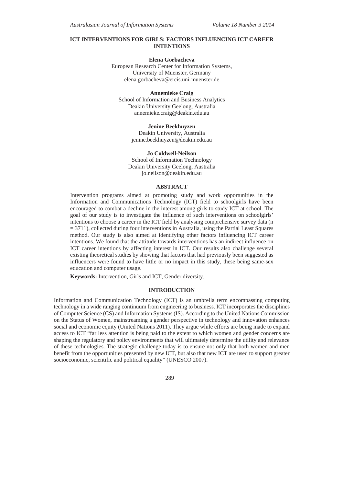# **ICT INTERVENTIONS FOR GIRLS: FACTORS INFLUENCING ICT CAREER INTENTIONS**

#### **Elena Gorbacheva**

European Research Center for Information Systems, University of Muenster, Germany elena.gorbacheva@ercis.uni-muenster.de

## **Annemieke Craig**

School of Information and Business Analytics Deakin University Geelong, Australia annemieke.craig@deakin.edu.au

# **Jenine Beekhuyzen**

Deakin University, Australia jenine.beekhuyzen@deakin.edu.au

## **Jo Coldwell-Neilson**

School of Information Technology Deakin University Geelong, Australia jo.neilson@deakin.edu.au

## **ABSTRACT**

Intervention programs aimed at promoting study and work opportunities in the Information and Communications Technology (ICT) field to schoolgirls have been encouraged to combat a decline in the interest among girls to study ICT at school. The goal of our study is to investigate the influence of such interventions on schoolgirls' intentions to choose a career in the ICT field by analysing comprehensive survey data (n  $= 3711$ ), collected during four interventions in Australia, using the Partial Least Squares method. Our study is also aimed at identifying other factors influencing ICT career intentions. We found that the attitude towards interventions has an indirect influence on ICT career intentions by affecting interest in ICT. Our results also challenge several existing theoretical studies by showing that factors that had previously been suggested as influencers were found to have little or no impact in this study, these being same-sex education and computer usage.

**Keywords:** Intervention, Girls and ICT, Gender diversity.

### **INTRODUCTION**

Information and Communication Technology (ICT) is an umbrella term encompassing computing technology in a wide ranging continuum from engineering to business. ICT incorporates the disciplines of Computer Science (CS) and Information Systems (IS). According to the United Nations Commission on the Status of Women, mainstreaming a gender perspective in technology and innovation enhances social and economic equity (United Nations 2011). They argue while efforts are being made to expand access to ICT "far less attention is being paid to the extent to which women and gender concerns are shaping the regulatory and policy environments that will ultimately determine the utility and relevance of these technologies. The strategic challenge today is to ensure not only that both women and men benefit from the opportunities presented by new ICT, but also that new ICT are used to support greater socioeconomic, scientific and political equality" (UNESCO 2007).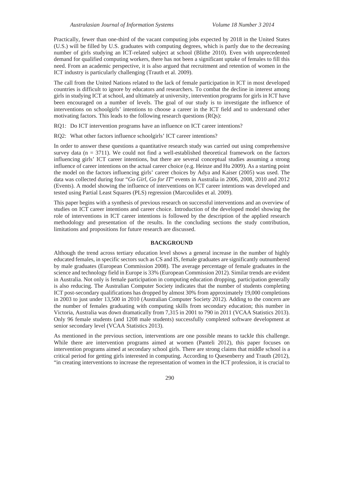Practically, fewer than one-third of the vacant computing jobs expected by 2018 in the United States (U.S.) will be filled by U.S. graduates with computing degrees, which is partly due to the decreasing number of girls studying an ICT-related subject at school (Blithe 2010). Even with unprecedented demand for qualified computing workers, there has not been a significant uptake of females to fill this need. From an academic perspective, it is also argued that recruitment and retention of women in the ICT industry is particularly challenging (Trauth et al. 2009).

The call from the United Nations related to the lack of female participation in ICT in most developed countries is difficult to ignore by educators and researchers. To combat the decline in interest among girls in studying ICT at school, and ultimately at university, intervention programs for girls in ICT have been encouraged on a number of levels. The goal of our study is to investigate the influence of interventions on schoolgirls' intentions to choose a career in the ICT field and to understand other motivating factors. This leads to the following research questions (RQs):

RQ1: Do ICT intervention programs have an influence on ICT career intentions?

RQ2: What other factors influence schoolgirls' ICT career intentions?

In order to answer these questions a quantitative research study was carried out using comprehensive survey data ( $n = 3711$ ). We could not find a well-established theoretical framework on the factors influencing girls' ICT career intentions, but there are several conceptual studies assuming a strong influence of career intentions on the actual career choice (e.g. Heinze and Hu 2009). As a starting point the model on the factors influencing girls' career choices by Adya and Kaiser (2005) was used. The data was collected during four "*Go Girl, Go for IT*" events in Australia in 2006, 2008, 2010 and 2012 (Events). A model showing the influence of interventions on ICT career intentions was developed and tested using Partial Least Squares (PLS) regression (Marcoulides et al. 2009).

This paper begins with a synthesis of previous research on successful interventions and an overview of studies on ICT career intentions and career choice. Introduction of the developed model showing the role of interventions in ICT career intentions is followed by the description of the applied research methodology and presentation of the results. In the concluding sections the study contribution, limitations and propositions for future research are discussed.

#### **BACKGROUND**

Although the trend across tertiary education level shows a general increase in the number of highly educated females, in specific sectors such as CS and IS, female graduates are significantly outnumbered by male graduates (European Commission 2008). The average percentage of female graduates in the science and technology field in Europe is 33% (European Commission 2012). Similar trends are evident in Australia. Not only is female participation in computing education dropping, participation generally is also reducing. The Australian Computer Society indicates that the number of students completing ICT post-secondary qualifications has dropped by almost 30% from approximately 19,000 completions in 2003 to just under 13,500 in 2010 (Australian Computer Society 2012). Adding to the concern are the number of females graduating with computing skills from secondary education; this number in Victoria, Australia was down dramatically from 7,315 in 2001 to 790 in 2011 (VCAA Statistics 2013). Only 96 female students (and 1208 male students) successfully completed software development at senior secondary level (VCAA Statistics 2013).

As mentioned in the previous section, interventions are one possible means to tackle this challenge. While there are intervention programs aimed at women (Panteli 2012), this paper focuses on intervention programs aimed at secondary school girls. There are strong claims that middle school is a critical period for getting girls interested in computing. According to Quesenberry and Trauth (2012), "in creating interventions to increase the representation of women in the ICT profession, it is crucial to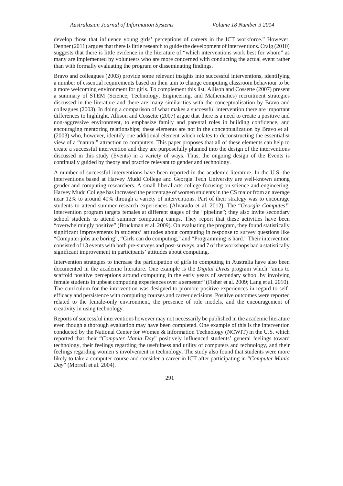develop those that influence young girls' perceptions of careers in the ICT workforce." However, Denner (2011) argues that there is little research to guide the development of interventions. Craig (2010) suggests that there is little evidence in the literature of "which interventions work best for whom" as many are implemented by volunteers who are more concerned with conducting the actual event rather than with formally evaluating the program or disseminating findings.

Bravo and colleagues (2003) provide some relevant insights into successful interventions, identifying a number of essential requirements based on their aim to change computing classroom behaviour to be a more welcoming environment for girls. To complement this list, Allison and Cossette (2007) present a summary of STEM (Science, Technology, Engineering, and Mathematics) recruitment strategies discussed in the literature and there are many similarities with the conceptualisation by Bravo and colleagues (2003). In doing a comparison of what makes a successful intervention there are important differences to highlight. Allison and Cossette (2007) argue that there is a need to create a positive and non-aggressive environment, to emphasize family and parental roles in building confidence, and encouraging mentoring relationships; these elements are not in the conceptualization by Bravo et al. (2003) who, however, identify one additional element which relates to deconstructing the essentialist view of a "natural" attraction to computers. This paper proposes that all of these elements can help to create a successful intervention and they are purposefully planned into the design of the interventions discussed in this study (Events) in a variety of ways. Thus, the ongoing design of the Events is continually guided by theory and practice relevant to gender and technology.

A number of successful interventions have been reported in the academic literature. In the U.S. the interventions based at Harvey Mudd College and Georgia Tech University are well-known among gender and computing researchers. A small liberal-arts college focusing on science and engineering, Harvey Mudd College has increased the percentage of women students in the CS major from an average near 12% to around 40% through a variety of interventions. Part of their strategy was to encourage students to attend summer research experiences (Alvarado et al. 2012). The "*Georgia Computes!*" intervention program targets females at different stages of the "pipeline"; they also invite secondary school students to attend summer computing camps. They report that these activities have been "overwhelmingly positive" (Bruckman et al. 2009). On evaluating the program, they found statistically significant improvements in students' attitudes about computing in response to survey questions like "Computer jobs are boring", "Girls can do computing," and "Programming is hard." Their intervention consisted of 13 events with both pre-surveys and post-surveys, and 7 of the workshops had a statistically significant improvement in participants' attitudes about computing.

Intervention strategies to increase the participation of girls in computing in Australia have also been documented in the academic literature. One example is the *Digital Divas* program which "aims to scaffold positive perceptions around computing in the early years of secondary school by involving female students in upbeat computing experiences over a semester" (Fisher et al. 2009; Lang et al. 2010). The curriculum for the intervention was designed to promote positive experiences in regard to selfefficacy and persistence with computing courses and career decisions. Positive outcomes were reported related to the female-only environment, the presence of role models, and the encouragement of creativity in using technology.

Reports of successful interventions however may not necessarily be published in the academic literature even though a thorough evaluation may have been completed. One example of this is the intervention conducted by the National Center for Women & Information Technology (NCWIT) in the U.S. which reported that their "*Computer Mania Day*" positively influenced students' general feelings toward technology, their feelings regarding the usefulness and utility of computers and technology, and their feelings regarding women's involvement in technology. The study also found that students were more likely to take a computer course and consider a career in ICT after participating in "*Computer Mania Day*" (Morrell et al. 2004).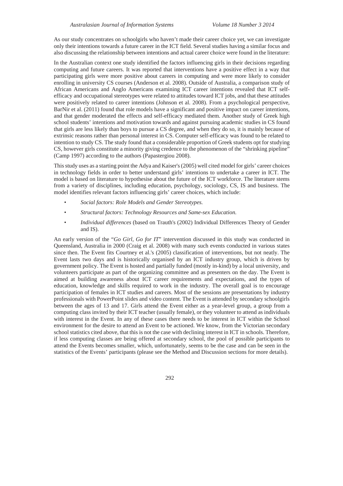As our study concentrates on schoolgirls who haven't made their career choice yet, we can investigate only their intentions towards a future career in the ICT field. Several studies having a similar focus and also discussing the relationship between intentions and actual career choice were found in the literature:

In the Australian context one study identified the factors influencing girls in their decisions regarding computing and future careers. It was reported that interventions have a positive effect in a way that participating girls were more positive about careers in computing and were more likely to consider enrolling in university CS courses (Anderson et al. 2008). Outside of Australia, a comparison study of African Americans and Anglo Americans examining ICT career intentions revealed that ICT selfefficacy and occupational stereotypes were related to attitudes toward ICT jobs, and that these attitudes were positively related to career intentions (Johnson et al. 2008). From a psychological perspective, BarNir et al. (2011) found that role models have a significant and positive impact on career intentions, and that gender moderated the effects and self-efficacy mediated them. Another study of Greek high school students' intentions and motivation towards and against pursuing academic studies in CS found that girls are less likely than boys to pursue a CS degree, and when they do so, it is mainly because of extrinsic reasons rather than personal interest in CS. Computer self-efficacy was found to be related to intention to study CS. The study found that a considerable proportion of Greek students opt for studying CS, however girls constitute a minority giving credence to the phenomenon of the "shrinking pipeline" (Camp 1997) according to the authors (Papastergiou 2008).

This study uses as a starting point the Adya and Kaiser's (2005) well cited model for girls' career choices in technology fields in order to better understand girls' intentions to undertake a career in ICT. The model is based on literature to hypothesise about the future of the ICT workforce. The literature stems from a variety of disciplines, including education, psychology, sociology, CS, IS and business. The model identifies relevant factors influencing girls' career choices, which include:

- *Social factors: Role Models and Gender Stereotypes.*
- *Structural factors: Technology Resources and Same-sex Education.*
- *Individual differences* (based on Trauth's (2002) Individual Differences Theory of Gender and IS).

An early version of the "*Go Girl, Go for IT*" intervention discussed in this study was conducted in Queensland, Australia in 2000 (Craig et al. 2008) with many such events conducted in various states since then. The Event fits Courtney et al.'s (2005) classification of interventions, but not neatly. The Event lasts two days and is historically organised by an ICT industry group, which is driven by government policy. The Event is hosted and partially funded (mostly in-kind) by a local university, and volunteers participate as part of the organizing committee and as presenters on the day. The Event is aimed at building awareness about ICT career requirements and expectations, and the types of education, knowledge and skills required to work in the industry. The overall goal is to encourage participation of females in ICT studies and careers. Most of the sessions are presentations by industry professionals with PowerPoint slides and video content. The Event is attended by secondary schoolgirls between the ages of 13 and 17. Girls attend the Event either as a year-level group, a group from a computing class invited by their ICT teacher (usually female), or they volunteer to attend as individuals with interest in the Event. In any of these cases there needs to be interest in ICT within the School environment for the desire to attend an Event to be actioned. We know, from the Victorian secondary school statistics cited above, that this is not the case with declining interest in ICT in schools. Therefore, if less computing classes are being offered at secondary school, the pool of possible participants to attend the Events becomes smaller, which, unfortunately, seems to be the case and can be seen in the statistics of the Events' participants (please see the Method and Discussion sections for more details).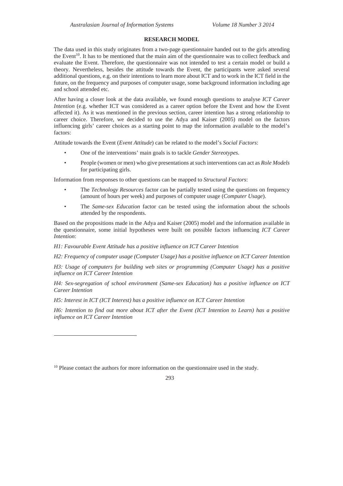## **RESEARCH MODEL**

The data used in this study originates from a two-page questionnaire handed out to the girls attending the Event<sup>10</sup>. It has to be mentioned that the main aim of the questionnaire was to collect feedback and evaluate the Event. Therefore, the questionnaire was not intended to test a certain model or build a theory. Nevertheless, besides the attitude towards the Event, the participants were asked several additional questions, e.g. on their intentions to learn more about ICT and to work in the ICT field in the future, on the frequency and purposes of computer usage, some background information including age and school attended etc.

After having a closer look at the data available, we found enough questions to analyse *ICT Career Intention* (e.g. whether ICT was considered as a career option before the Event and how the Event affected it). As it was mentioned in the previous section, career intention has a strong relationship to career choice. Therefore, we decided to use the Adya and Kaiser (2005) model on the factors influencing girls' career choices as a starting point to map the information available to the model's factors:

Attitude towards the Event (*Event Attitude*) can be related to the model's *Social Factors*:

- One of the interventions' main goals is to tackle *Gender Stereotypes*.
- People (women or men) who give presentations at such interventions can act as *Role Models* for participating girls.

Information from responses to other questions can be mapped to *Structural Factors*:

- The *Technology Resources* factor can be partially tested using the questions on frequency (amount of hours per week) and purposes of computer usage (*Computer Usage*).
- The *Same-sex Education* factor can be tested using the information about the schools attended by the respondents.

Based on the propositions made in the Adya and Kaiser (2005) model and the information available in the questionnaire, some initial hypotheses were built on possible factors influencing *ICT Career Intention*:

*H1: Favourable Event Attitude has a positive influence on ICT Career Intention* 

*H2: Frequency of computer usage (Computer Usage) has a positive influence on ICT Career Intention* 

*H3: Usage of computers for building web sites or programming (Computer Usage) has a positive influence on ICT Career Intention* 

*H4: Sex-segregation of school environment (Same-sex Education) has a positive influence on ICT Career Intention* 

*H5: Interest in ICT (ICT Interest) has a positive influence on ICT Career Intention* 

 $\overline{a}$ 

*H6: Intention to find out more about ICT after the Event (ICT Intention to Learn) has a positive influence on ICT Career Intention* 

<sup>&</sup>lt;sup>10</sup> Please contact the authors for more information on the questionnaire used in the study.

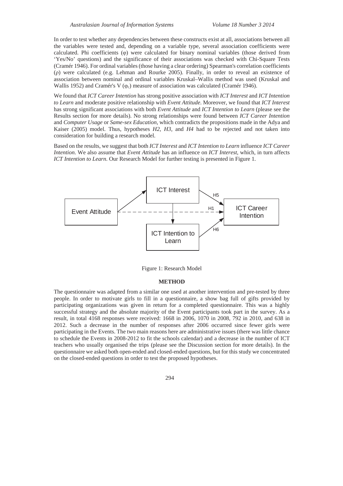In order to test whether any dependencies between these constructs exist at all, associations between all the variables were tested and, depending on a variable type, several association coefficients were calculated. Phi coefficients  $(\varphi)$  were calculated for binary nominal variables (those derived from 'Yes/No' questions) and the significance of their associations was checked with Chi-Square Tests (Cramér 1946). For ordinal variables (those having a clear ordering) Spearman's correlation coefficients (ȡ) were calculated (e.g. Lehman and Rourke 2005). Finally, in order to reveal an existence of association between nominal and ordinal variables Kruskal–Wallis method was used (Kruskal and Wallis 1952) and Cramér's V ( $\varphi_c$ ) measure of association was calculated (Cramér 1946).

We found that *ICT Career Intention* has strong positive association with *ICT Interest* and *ICT Intention to Learn* and moderate positive relationship with *Event Attitude*. Moreover, we found that *ICT Interest* has strong significant associations with both *Event Attitude* and *ICT Intention to Learn* (please see the Results section for more details). No strong relationships were found between *ICT Career Intention* and *Computer Usage* or *Same-sex Education*, which contradicts the propositions made in the Adya and Kaiser (2005) model. Thus, hypotheses *H2, H3,* and *H4* had to be rejected and not taken into consideration for building a research model.

Based on the results, we suggest that both *ICT Interest* and *ICT Intention to Learn* influence *ICT Career Intention*. We also assume that *Event Attitude* has an influence on *ICT Interest*, which, in turn affects *ICT Intention to Learn*. Our Research Model for further testing is presented in Figure 1.



Figure 1: Research Model

#### **METHOD**

The questionnaire was adapted from a similar one used at another intervention and pre-tested by three people. In order to motivate girls to fill in a questionnaire, a show bag full of gifts provided by participating organizations was given in return for a completed questionnaire. This was a highly successful strategy and the absolute majority of the Event participants took part in the survey. As a result, in total 4168 responses were received: 1668 in 2006, 1070 in 2008, 792 in 2010, and 638 in 2012. Such a decrease in the number of responses after 2006 occurred since fewer girls were participating in the Events. The two main reasons here are administrative issues (there was little chance to schedule the Events in 2008-2012 to fit the schools calendar) and a decrease in the number of ICT teachers who usually organised the trips (please see the Discussion section for more details). In the questionnaire we asked both open-ended and closed-ended questions, but for this study we concentrated on the closed-ended questions in order to test the proposed hypotheses.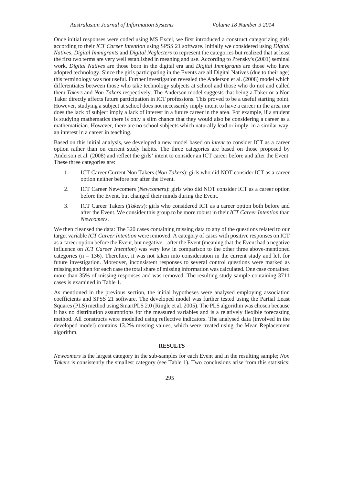Once initial responses were coded using MS Excel, we first introduced a construct categorizing girls according to their *ICT Career Intention* using SPSS 21 software. Initially we considered using *Digital Natives, Digital Immigrants* and *Digital Neglecters* to represent the categories but realized that at least the first two terms are very well established in meaning and use. According to Prensky's (2001) seminal work, *Digital Natives* are those born in the digital era and *Digital Immigrants* are those who have adopted technology. Since the girls participating in the Events are all Digital Natives (due to their age) this terminology was not useful. Further investigation revealed the Anderson et al. (2008) model which differentiates between those who take technology subjects at school and those who do not and called them *Takers* and *Non Takers* respectively. The Anderson model suggests that being a Taker or a Non Taker directly affects future participation in ICT professions. This proved to be a useful starting point. However, studying a subject at school does not necessarily imply intent to have a career in the area nor does the lack of subject imply a lack of interest in a future career in the area. For example, if a student is studying mathematics there is only a slim chance that they would also be considering a career as a mathematician. However, there are no school subjects which naturally lead or imply, in a similar way, an interest in a career in teaching.

Based on this initial analysis, we developed a new model based on *intent* to consider ICT as a career option rather than on current study habits. The three categories are based on those proposed by Anderson et al. (2008) and reflect the girls' intent to consider an ICT career before and after the Event. These three categories are:

- 1. ICT Career Current Non Takers (*Non Takers*): girls who did NOT consider ICT as a career option neither before nor after the Event.
- 2. ICT Career Newcomers (*Newcomers*): girls who did NOT consider ICT as a career option before the Event, but changed their minds during the Event.
- 3. ICT Career Takers (*Takers*): girls who considered ICT as a career option both before and after the Event. We consider this group to be more robust in their *ICT Career Intention* than *Newcomers*.

We then cleansed the data: The 320 cases containing missing data to any of the questions related to our target variable *ICT Career Intention* were removed. A category of cases with positive responses on ICT as a career option before the Event, but negative – after the Event (meaning that the Event had a negative influence on *ICT Career Intention*) was very low in comparison to the other three above-mentioned categories ( $n = 136$ ). Therefore, it was not taken into consideration in the current study and left for future investigation. Moreover, inconsistent responses to several control questions were marked as missing and then for each case the total share of missing information was calculated. One case contained more than 35% of missing responses and was removed. The resulting study sample containing 3711 cases is examined in Table 1.

As mentioned in the previous section, the initial hypotheses were analysed employing association coefficients and SPSS 21 software. The developed model was further tested using the Partial Least Squares (PLS) method using SmartPLS 2.0 (Ringle et al. 2005). The PLS algorithm was chosen because it has no distribution assumptions for the measured variables and is a relatively flexible forecasting method. All constructs were modelled using reflective indicators. The analysed data (involved in the developed model) contains 13.2% missing values, which were treated using the Mean Replacement algorithm.

# **RESULTS**

*Newcomers* is the largest category in the sub-samples for each Event and in the resulting sample; *Non Takers* is consistently the smallest category (see Table 1). Two conclusions arise from this statistics: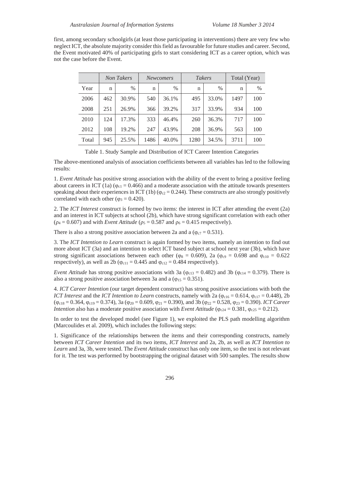first, among secondary schoolgirls (at least those participating in interventions) there are very few who neglect ICT, the absolute majority consider this field as favourable for future studies and career. Second, the Event motivated 40% of participating girls to start considering ICT as a career option, which was not the case before the Event.

|       |     | <b>Non Takers</b> |      | <b>Newcomers</b> |      | <b>Takers</b> |      | Total (Year) |  |
|-------|-----|-------------------|------|------------------|------|---------------|------|--------------|--|
| Year  | n   | $\%$              | n    | $\%$             | n    | $\%$          | n    | $\%$         |  |
| 2006  | 462 | 30.9%             | 540  | 36.1%            | 495  | 33.0%         | 1497 | 100          |  |
| 2008  | 251 | 26.9%             | 366  | 39.2%            | 317  | 33.9%         | 934  | 100          |  |
| 2010  | 124 | 17.3%             | 333  | 46.4%            | 260  | 36.3%         | 717  | 100          |  |
| 2012  | 108 | 19.2%             | 247  | 43.9%            | 208  | 36.9%         | 563  | 100          |  |
| Total | 945 | 25.5%             | 1486 | 40.0%            | 1280 | 34.5%         | 3711 | 100          |  |

Table 1. Study Sample and Distribution of ICT Career Intention Categories

The above-mentioned analysis of association coefficients between all variables has led to the following results:

1. *Event Attitude* has positive strong association with the ability of the event to bring a positive feeling about careers in ICT (1a) ( $\varphi_{c1} = 0.466$ ) and a moderate association with the attitude towards presenters speaking about their experiences in ICT (1b) ( $\varphi_{c2} = 0.244$ ). These constructs are also strongly positively correlated with each other ( $\varphi_3 = 0.420$ ).

2. The *ICT Interest* construct is formed by two items: the interest in ICT after attending the event (2a) and an interest in ICT subjects at school (2b), which have strong significant correlation with each other  $(\rho_4 = 0.607)$  and with *Event Attitude* ( $\rho_5 = 0.587$  and  $\rho_6 = 0.415$  respectively).

There is also a strong positive association between 2a and a ( $\varphi_{c7} = 0.531$ ).

3. The *ICT Intention to Learn* construct is again formed by two items, namely an intention to find out more about ICT (3a) and an intention to select ICT based subject at school next year (3b), which have strong significant associations between each other ( $\varphi_8 = 0.609$ ), 2a ( $\varphi_{c9} = 0.698$  and  $\varphi_{c10} = 0.622$ respectively), as well as 2b ( $\varphi_{c11} = 0.445$  and  $\varphi_{c12} = 0.484$  respectively).

*Event Attitude* has strong positive associations with 3a ( $\varphi_{c13} = 0.482$ ) and 3b ( $\varphi_{c14} = 0.379$ ). There is also a strong positive association between 3a and a ( $\varphi_{15} = 0.351$ ).

4. *ICT Career Intention* (our target dependent construct) has strong positive associations with both the *ICT Interest* and the *ICT Intention to Learn* constructs, namely with 2a ( $\varphi_{c16} = 0.614$ ,  $\varphi_{c17} = 0.448$ ), 2b  $(\varphi_{c18} = 0.364, \varphi_{c19} = 0.374)$ , 3a ( $\varphi_{20} = 0.609$ ,  $\varphi_{21} = 0.390$ ), and 3b ( $\varphi_{22} = 0.528$ ,  $\varphi_{23} = 0.390$ ). *ICT Career Intention* also has a moderate positive association with *Event Attitude* ( $\varphi_{c24} = 0.381$ ,  $\varphi_{c25} = 0.212$ ).

In order to test the developed model (see Figure 1), we exploited the PLS path modelling algorithm (Marcoulides et al. 2009), which includes the following steps:

1. Significance of the relationships between the items and their corresponding constructs, namely between *ICT Career Intention* and its two items, *ICT Interest* and 2a, 2b, as well as *ICT Intention to Learn* and 3a, 3b, were tested. The *Event Attitude* construct has only one item, so the test is not relevant for it. The test was performed by bootstrapping the original dataset with 500 samples. The results show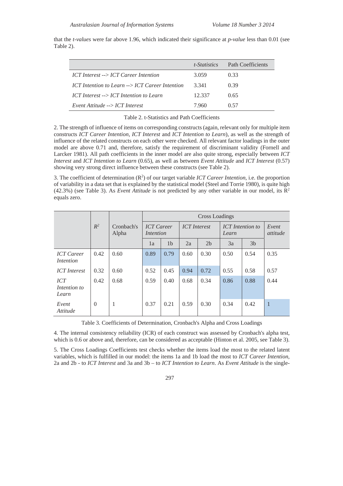that the *t-values* were far above 1.96, which indicated their significance at *p-value* less than 0.01 (see Table 2).

|                                                 | <i>t</i> -Statistics | Path Coefficients |
|-------------------------------------------------|----------------------|-------------------|
| ICT Interest --> ICT Career Intention           | 3.059                | 0.33              |
| ICT Intention to Learn --> ICT Career Intention | 3 3 4 1              | 0.39              |
| ICT Interest --> ICT Intention to Learn         | 12.337               | 0.65              |
| Event Attitude --> ICT Interest                 | 7.960                | 0.57              |

### Table 2. t-Statistics and Path Coefficients

2. The strength of influence of items on corresponding constructs (again, relevant only for multiple item constructs *ICT Career Intention, ICT Interest* and *ICT Intention to Learn*), as well as the strength of influence of the related constructs on each other were checked. All relevant factor loadings in the outer model are above 0.71 and, therefore, satisfy the requirement of discriminant validity (Fornell and Larcker 1981). All path coefficients in the inner model are also quite strong, especially between *ICT Interest* and *ICT Intention to Learn* (0.65), as well as between *Event Attitude* and *ICT Interest* (0.57) showing very strong direct influence between these constructs (see Table 2).

3. The coefficient of determination  $(R^2)$  of our target variable *ICT Career Intention*, i.e. the proportion of variability in a data set that is explained by the statistical model (Steel and Torrie 1980), is quite high (42.3%) (see Table 3). As *Event Attitude* is not predicted by any other variable in our model, its  $\mathbb{R}^2$ equals zero.

|                                |          |                     | <b>Cross Loadings</b>          |                |                     |                |                                  |                |                   |
|--------------------------------|----------|---------------------|--------------------------------|----------------|---------------------|----------------|----------------------------------|----------------|-------------------|
|                                | $R^2$    | Cronbach's<br>Alpha | <b>ICT</b> Career<br>Intention |                | <b>ICT</b> Interest |                | <b>ICT</b> Intention to<br>Learn |                | Event<br>attitude |
|                                |          |                     | 1a                             | 1 <sub>b</sub> | 2a                  | 2 <sub>b</sub> | 3a                               | 3 <sub>b</sub> |                   |
| <b>ICT</b> Career<br>Intention | 0.42     | 0.60                | 0.89                           | 0.79           | 0.60                | 0.30           | 0.50                             | 0.54           | 0.35              |
| <b>ICT</b> Interest            | 0.32     | 0.60                | 0.52                           | 0.45           | 0.94                | 0.72           | 0.55                             | 0.58           | 0.57              |
| ICT<br>Intention to<br>Learn   | 0.42     | 0.68                | 0.59                           | 0.40           | 0.68                | 0.34           | 0.86                             | 0.88           | 0.44              |
| Event<br>Attitude              | $\Omega$ | 1                   | 0.37                           | 0.21           | 0.59                | 0.30           | 0.34                             | 0.42           | $\mathbf{1}$      |

Table 3. Coefficients of Determination, Cronbach's Alpha and Cross Loadings

4. The internal consistency reliability (ICR) of each construct was assessed by Cronbach's alpha test, which is 0.6 or above and, therefore, can be considered as acceptable (Hinton et al. 2005, see Table 3).

5. The Cross Loadings Coefficients test checks whether the items load the most to the related latent variables, which is fulfilled in our model: the items 1a and 1b load the most to *ICT Career Intention*, 2a and 2b - to *ICT Interest* and 3a and 3b – to *ICT Intention to Learn*. As *Event Attitude* is the single-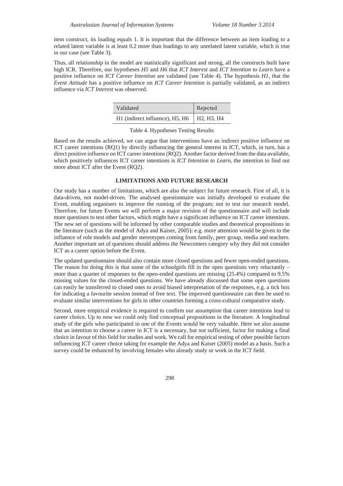item construct, its loading equals 1. It is important that the difference between an item loading to a related latent variable is at least 0.2 more than loadings to any unrelated latent variable, which is true in our case (see Table 3).

Thus, all relationship in the model are statistically significant and strong, all the constructs built have high ICR. Therefore, our hypotheses *H5* and *H6* that *ICT Interest* and *ICT Intention to Learn* have a positive influence on *ICT Career Intention* are validated (see Table 4). The hypothesis *H1*, that the *Event Attitude* has a positive influence on *ICT Career Intention* is partially validated, as an indirect influence via *ICT Interest* was observed.

| Validated                                    | Rejected |
|----------------------------------------------|----------|
| H1 (indirect influence), H5, H6   H2, H3, H4 |          |

Table 4. Hypotheses Testing Results

Based on the results achieved, we can argue that interventions have an indirect positive influence on ICT career intentions (RQ1) by directly influencing the general interest in ICT, which, in turn, has a direct positive influence on ICT career intentions (RQ2). Another factor derived from the data available, which positively influences ICT career intentions is *ICT Intention to Learn*, the intention to find out more about ICT after the Event (RQ2).

# **LIMITATIONS AND FUTURE RESEARCH**

Our study has a number of limitations, which are also the subject for future research. First of all, it is data-driven, not model-driven. The analysed questionnaire was initially developed to evaluate the Event, enabling organisers to improve the running of the program; not to test our research model. Therefore, for future Events we will perform a major revision of the questionnaire and will include more questions to test other factors, which might have a significant influence on ICT career intentions. The new set of questions will be informed by other comparable studies and theoretical propositions in the literature (such as the model of Adya and Kaiser, 2005): e.g. more attention would be given to the influence of role models and gender stereotypes coming from family, peer group, media and teachers. Another important set of questions should address the Newcomers category why they did not consider ICT as a career option before the Event.

The updated questionnaire should also contain more closed questions and fewer open-ended questions. The reason for doing this is that some of the schoolgirls fill in the open questions very reluctantly  $$ more than a quarter of responses to the open-ended questions are missing (25.4%) compared to 9.5% missing values for the closed-ended questions. We have already discussed that some open questions can easily be transferred to closed ones to avoid biased interpretation of the responses, e.g. a tick box for indicating a favourite session instead of free text. The improved questionnaire can then be used to evaluate similar interventions for girls in other countries forming a cross-cultural comparative study.

Second, more empirical evidence is required to confirm our assumption that career intentions lead to career choice. Up to now we could only find conceptual propositions in the literature. A longitudinal study of the girls who participated in one of the Events would be very valuable. Here we also assume that an intention to choose a career in ICT is a necessary, but not sufficient, factor for making a final choice in favour of this field for studies and work. We call for empirical testing of other possible factors influencing ICT career choice taking for example the Adya and Kaiser (2005) model as a basis. Such a survey could be enhanced by involving females who already study or work in the ICT field.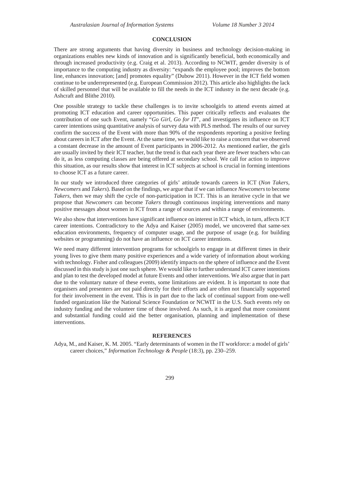#### **CONCLUSION**

There are strong arguments that having diversity in business and technology decision-making in organizations enables new kinds of innovation and is significantly beneficial, both economically and through increased productivity (e.g. Craig et al. 2013). According to NCWIT, gender diversity is of importance to the computing industry as diversity: "expands the employee pool; improves the bottom line, enhances innovation; [and] promotes equality" (Dubow 2011). However in the ICT field women continue to be underrepresented (e.g. European Commission 2012). This article also highlights the lack of skilled personnel that will be available to fill the needs in the ICT industry in the next decade (e.g. Ashcraft and Blithe 2010).

One possible strategy to tackle these challenges is to invite schoolgirls to attend events aimed at promoting ICT education and career opportunities. This paper critically reflects and evaluates the contribution of one such Event, namely "*Go Girl, Go for IT*", and investigates its influence on ICT career intentions using quantitative analysis of survey data with PLS method. The results of our survey confirm the success of the Event with more than 90% of the respondents reporting a positive feeling about careers in ICT after the Event. At the same time, we would like to raise a concern that we observed a constant decrease in the amount of Event participants in 2006-2012. As mentioned earlier, the girls are usually invited by their ICT teacher, but the trend is that each year there are fewer teachers who can do it, as less computing classes are being offered at secondary school. We call for action to improve this situation, as our results show that interest in ICT subjects at school is crucial in forming intentions to choose ICT as a future career.

In our study we introduced three categories of girls' attitude towards careers in ICT (*Non Takers, Newcomers* and *Takers*). Based on the findings, we argue that if we can influence *Newcomers* to become *Takers*, then we may shift the cycle of non-participation in ICT. This is an iterative cycle in that we propose that *Newcomers* can become *Takers* through continuous inspiring interventions and many positive messages about women in ICT from a range of sources and within a range of environments.

We also show that interventions have significant influence on interest in ICT which, in turn, affects ICT career intentions. Contradictory to the Adya and Kaiser (2005) model, we uncovered that same-sex education environments, frequency of computer usage, and the purpose of usage (e.g. for building websites or programming) do not have an influence on ICT career intentions.

We need many different intervention programs for schoolgirls to engage in at different times in their young lives to give them many positive experiences and a wide variety of information about working with technology. Fisher and colleagues (2009) identify impacts on the sphere of influence and the Event discussed in this study is just one such sphere. We would like to further understand ICT career intentions and plan to test the developed model at future Events and other interventions. We also argue that in part due to the voluntary nature of these events, some limitations are evident. It is important to note that organisers and presenters are not paid directly for their efforts and are often not financially supported for their involvement in the event. This is in part due to the lack of continual support from one-well funded organization like the National Science Foundation or NCWIT in the U.S. Such events rely on industry funding and the volunteer time of those involved. As such, it is argued that more consistent and substantial funding could aid the better organisation, planning and implementation of these interventions.

#### **REFERENCES**

Adya, M., and Kaiser, K. M. 2005. "Early determinants of women in the IT workforce: a model of girls' career choices," *Information Technology & People* (18:3), pp. 230–259.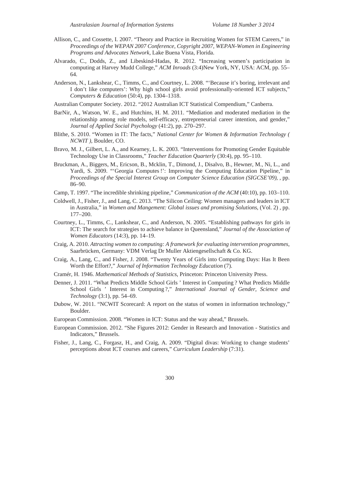- Allison, C., and Cossette, I. 2007. "Theory and Practice in Recruiting Women for STEM Careers," in *Proceedings of the WEPAN 2007 Conference, Copyright 2007, WEPAN-Women in Engineering Programs and Advocates Network*, Lake Buena Vista, Florida.
- Alvarado, C., Dodds, Z., and Libeskind-Hadas, R. 2012. "Increasing women's participation in computing at Harvey Mudd College," *ACM Inroads* (3:4)New York, NY, USA: ACM, pp. 55– 64.
- Anderson, N., Lankshear, C., Timms, C., and Courtney, L. 2008. "'Because it's boring, irrelevant and I don't like computers': Why high school girls avoid professionally-oriented ICT subjects," *Computers & Education* (50:4), pp. 1304–1318.
- Australian Computer Society. 2012. "2012 Australian ICT Statistical Compendium," Canberra.
- BarNir, A., Watson, W. E., and Hutchins, H. M. 2011. "Mediation and moderated mediation in the relationship among role models, self-efficacy, entrepreneurial career intention, and gender," *Journal of Applied Social Psychology* (41:2), pp. 270–297.
- Blithe, S. 2010. "Women in IT: The facts," *National Center for Women & Information Technology ( NCWIT )*, Boulder, CO.
- Bravo, M. J., Gilbert, L. A., and Kearney, L. K. 2003. "Interventions for Promoting Gender Equitable Technology Use in Classrooms," *Teacher Education Quarterly* (30:4), pp. 95–110.
- Bruckman, A., Biggers, M., Ericson, B., Mcklin, T., Dimond, J., Disalvo, B., Hewner, M., Ni, L., and Yardi, S. 2009. "'Georgia Computes !': Improving the Computing Education Pipeline," in *Proceedings of the Special Interest Group on Computer Science Education (SIGCSE'09)*, , pp. 86–90.
- Camp, T. 1997. "The incredible shrinking pipeline," *Communication of the ACM* (40:10), pp. 103–110.
- Coldwell, J., Fisher, J., and Lang, C. 2013. "The Silicon Ceiling: Women managers and leaders in ICT in Australia," in *Women and Mangement: Global issues and promising Solutions*, (Vol. 2) , pp. 177–200.
- Courtney, L., Timms, C., Lankshear, C., and Anderson, N. 2005. "Establishing pathways for girls in ICT: The search for strategies to achieve balance in Queensland," *Journal of the Association of Women Educators* (14:3), pp. 14–19.
- Craig, A. 2010. *Attracting women to computing: A framework for evaluating intervention programmes*, Saarbrücken, Germany: VDM Verlag Dr Muller Aktiengesellschaft & Co. KG.
- Craig, A., Lang, C., and Fisher, J. 2008. "Twenty Years of Girls into Computing Days: Has It Been Worth the Effort?," *Journal of Information Technology Education* (7).
- Cramér, H. 1946. *Mathematical Methods of Statistics*, Princeton: Princeton University Press.
- Denner, J. 2011. "What Predicts Middle School Girls ' Interest in Computing ? What Predicts Middle School Girls ' Interest in Computing ?," *International Journal of Gender, Science and Technology* (3:1), pp. 54–69.
- Dubow, W. 2011. "NCWIT Scorecard: A report on the status of women in information technology," Boulder.
- European Commission. 2008. "Women in ICT: Status and the way ahead," Brussels.
- European Commission. 2012. "She Figures 2012: Gender in Research and Innovation Statistics and Indicators," Brussels.
- Fisher, J., Lang, C., Forgasz, H., and Craig, A. 2009. "Digital divas: Working to change students' perceptions about ICT courses and careers," *Curriculum Leadership* (7:31).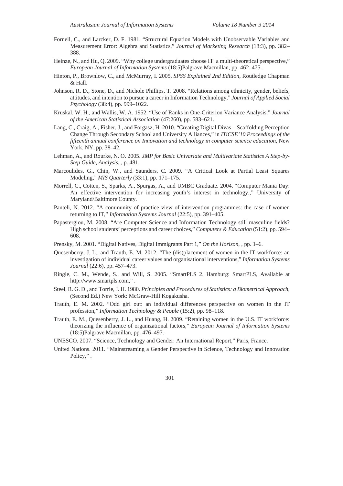- Fornell, C., and Larcker, D. F. 1981. "Structural Equation Models with Unobservable Variables and Measurement Error: Algebra and Statistics," *Journal of Marketing Research* (18:3), pp. 382– 388.
- Heinze, N., and Hu, Q. 2009. "Why college undergraduates choose IT: a multi-theoretical perspective," *European Journal of Information Systems* (18:5)Palgrave Macmillan, pp. 462–475.
- Hinton, P., Brownlow, C., and McMurray, I. 2005. *SPSS Explained 2nd Edition*, Routledge Chapman & Hall.
- Johnson, R. D., Stone, D., and Nichole Phillips, T. 2008. "Relations among ethnicity, gender, beliefs, attitudes, and intention to pursue a career in Information Technology," *Journal of Applied Social Psychology* (38:4), pp. 999–1022.
- Kruskal, W. H., and Wallis, W. A. 1952. "Use of Ranks in One-Criterion Variance Analysis," *Journal of the American Statistical Association* (47:260), pp. 583–621.
- Lang, C., Craig, A., Fisher, J., and Forgasz, H. 2010. "Creating Digital Divas Scaffolding Perception Change Through Secondary School and University Alliances," in *ITiCSE'10 Proceedings of the fifteenth annual conference on Innovation and technology in computer science education*, New York, NY, pp. 38–42.
- Lehman, A., and Rourke, N. O. 2005. *JMP for Basic Univariate and Multivariate Statistics A Step-by-Step Guide*, *Analysis*, , p. 481.
- Marcoulides, G., Chin, W., and Saunders, C. 2009. "A Critical Look at Partial Least Squares Modeling," *MIS Quarterly* (33:1), pp. 171–175.
- Morrell, C., Cotten, S., Sparks, A., Spurgas, A., and UMBC Graduate. 2004. "Computer Mania Day: An effective intervention for increasing youth's interest in technology.," University of Maryland/Baltimore County.
- Panteli, N. 2012. "A community of practice view of intervention programmes: the case of women returning to IT," *Information Systems Journal* (22:5), pp. 391–405.
- Papastergiou, M. 2008. "Are Computer Science and Information Technology still masculine fields? High school students' perceptions and career choices," *Computers & Education* (51:2), pp. 594– 608.
- Prensky, M. 2001. "Digital Natives, Digital Immigrants Part 1," *On the Horizon*, , pp. 1–6.
- Quesenberry, J. L., and Trauth, E. M. 2012. "The (dis)placement of women in the IT workforce: an investigation of individual career values and organisational interventions," *Information Systems Journal* (22:6), pp. 457–473.
- Ringle, C. M., Wende, S., and Will, S. 2005. "SmartPLS 2. Hamburg: SmartPLS, Available at http://www.smartpls.com," .
- Steel, R. G. D., and Torrie, J. H. 1980. *Principles and Procedures of Statistics: a Biometrical Approach*, (Second Ed.) New York: McGraw-Hill Kogakusha.
- Trauth, E. M. 2002. "Odd girl out: an individual differences perspective on women in the IT profession," *Information Technology & People* (15:2), pp. 98–118.
- Trauth, E. M., Quesenberry, J. L., and Huang, H. 2009. "Retaining women in the U.S. IT workforce: theorizing the influence of organizational factors," *European Journal of Information Systems* (18:5)Palgrave Macmillan, pp. 476–497.
- UNESCO. 2007. "Science, Technology and Gender: An International Report," Paris, France.
- United Nations. 2011. "Mainstreaming a Gender Perspective in Science, Technology and Innovation Policy,".